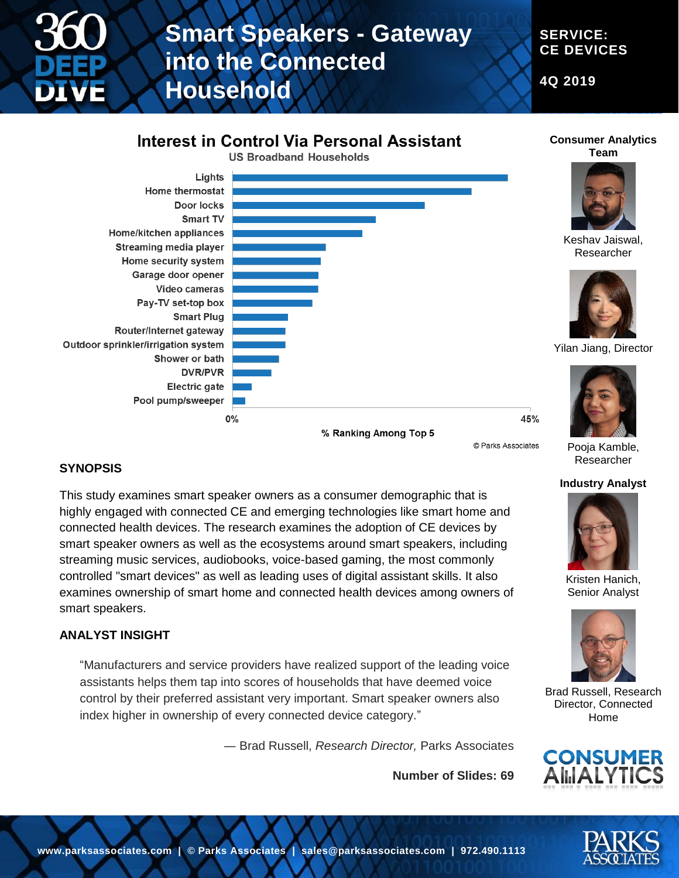

**SYNOPSIS**

smart speakers.

**ANALYST INSIGHT**

# **Smart Speakers - Gateway into the Connected**

**Household**

**SERVICE: CE DEVICES**

> **Consumer Analytics Team**

> > Keshav Jaiswal, Researcher

**4Q 2019**

### Interest in Control Via Personal Assistant

**US Broadband Households** 



© Parks Associates

#### Pooja Kamble, Researcher

#### **Industry Analyst**



Kristen Hanich, Senior Analyst



Brad Russell, Research Director, Connected Home



**www.parksassociates.com | © Parks Associates | sales@parksassociates.com | 972.490.1113**

― Brad Russell, *Research Director,* Parks Associates

**Number of Slides: 69**



"Manufacturers and service providers have realized support of the leading voice assistants helps them tap into scores of households that have deemed voice control by their preferred assistant very important. Smart speaker owners also

index higher in ownership of every connected device category."

This study examines smart speaker owners as a consumer demographic that is highly engaged with connected CE and emerging technologies like smart home and connected health devices. The research examines the adoption of CE devices by smart speaker owners as well as the ecosystems around smart speakers, including streaming music services, audiobooks, voice-based gaming, the most commonly controlled "smart devices" as well as leading uses of digital assistant skills. It also examines ownership of smart home and connected health devices among owners of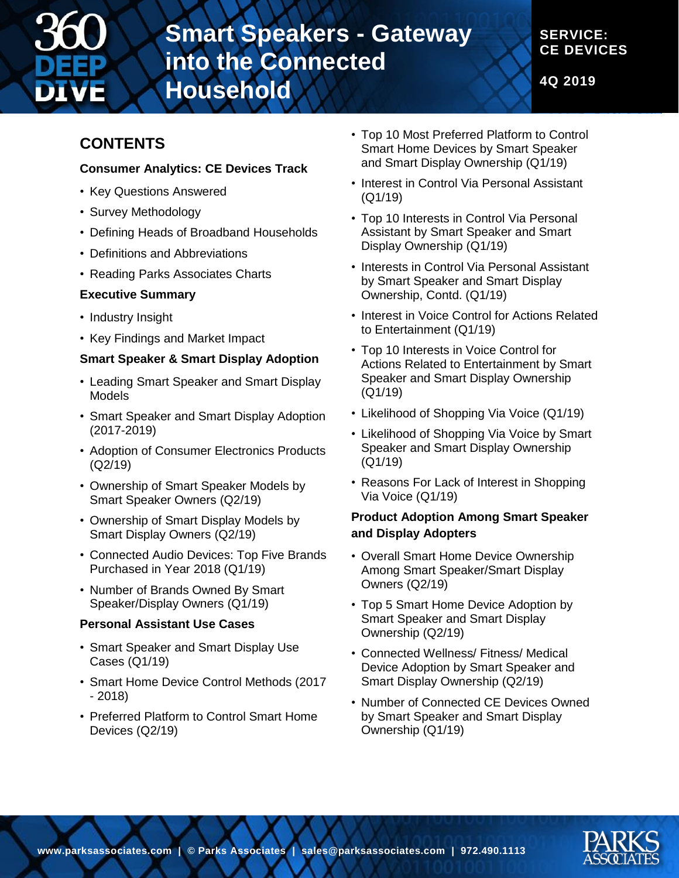

## **Smart Speakers - Gateway into the Connected Household**

**SERVICE: CE DEVICES**

**4Q 2019**

### **CONTENTS**

#### **Consumer Analytics: CE Devices Track**

- Key Questions Answered
- Survey Methodology
- Defining Heads of Broadband Households
- Definitions and Abbreviations
- Reading Parks Associates Charts

#### **Executive Summary**

- Industry Insight
- Key Findings and Market Impact

#### **Smart Speaker & Smart Display Adoption**

- Leading Smart Speaker and Smart Display Models
- Smart Speaker and Smart Display Adoption (2017-2019)
- Adoption of Consumer Electronics Products (Q2/19)
- Ownership of Smart Speaker Models by Smart Speaker Owners (Q2/19)
- Ownership of Smart Display Models by Smart Display Owners (Q2/19)
- Connected Audio Devices: Top Five Brands Purchased in Year 2018 (Q1/19)
- Number of Brands Owned By Smart Speaker/Display Owners (Q1/19)

#### **Personal Assistant Use Cases**

- Smart Speaker and Smart Display Use Cases (Q1/19)
- Smart Home Device Control Methods (2017 - 2018)
- Preferred Platform to Control Smart Home Devices (Q2/19)
- Top 10 Most Preferred Platform to Control Smart Home Devices by Smart Speaker and Smart Display Ownership (Q1/19)
- Interest in Control Via Personal Assistant (Q1/19)
- Top 10 Interests in Control Via Personal Assistant by Smart Speaker and Smart Display Ownership (Q1/19)
- Interests in Control Via Personal Assistant by Smart Speaker and Smart Display Ownership, Contd. (Q1/19)
- Interest in Voice Control for Actions Related to Entertainment (Q1/19)
- Top 10 Interests in Voice Control for Actions Related to Entertainment by Smart Speaker and Smart Display Ownership (Q1/19)
- Likelihood of Shopping Via Voice (Q1/19)
- Likelihood of Shopping Via Voice by Smart Speaker and Smart Display Ownership (Q1/19)
- Reasons For Lack of Interest in Shopping Via Voice (Q1/19)

#### **Product Adoption Among Smart Speaker and Display Adopters**

- Overall Smart Home Device Ownership Among Smart Speaker/Smart Display Owners (Q2/19)
- Top 5 Smart Home Device Adoption by Smart Speaker and Smart Display Ownership (Q2/19)
- Connected Wellness/ Fitness/ Medical Device Adoption by Smart Speaker and Smart Display Ownership (Q2/19)
- Number of Connected CE Devices Owned by Smart Speaker and Smart Display Ownership (Q1/19)

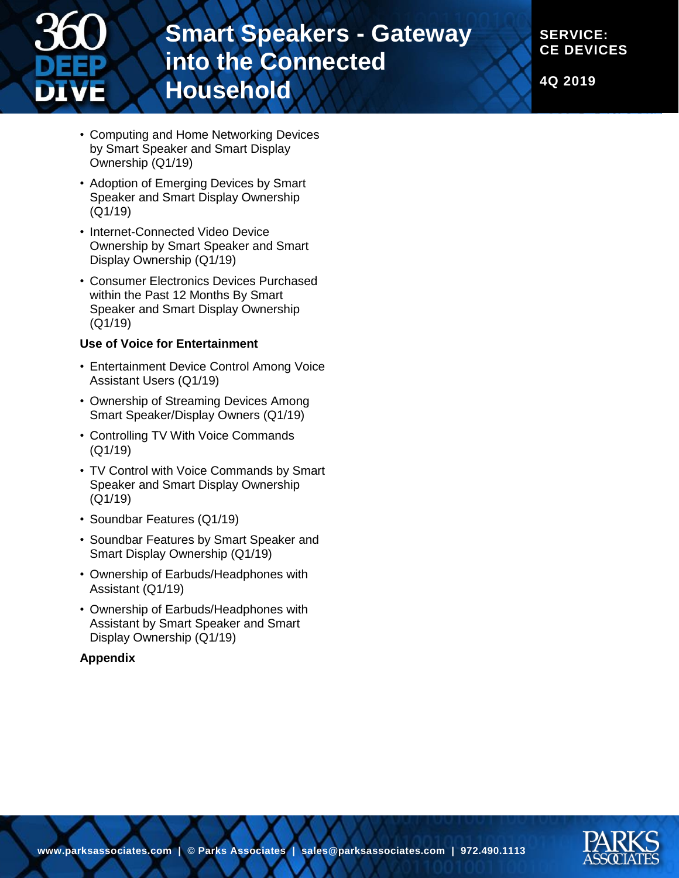

## **Smart Speakers - Gateway into the Connected Household**

**SERVICE: CE DEVICES**

**4Q 2019**

- Computing and Home Networking Devices by Smart Speaker and Smart Display Ownership (Q1/19)
- Adoption of Emerging Devices by Smart Speaker and Smart Display Ownership (Q1/19)
- Internet-Connected Video Device Ownership by Smart Speaker and Smart Display Ownership (Q1/19)
- Consumer Electronics Devices Purchased within the Past 12 Months By Smart Speaker and Smart Display Ownership (Q1/19)

#### **Use of Voice for Entertainment**

- Entertainment Device Control Among Voice Assistant Users (Q1/19)
- Ownership of Streaming Devices Among Smart Speaker/Display Owners (Q1/19)
- Controlling TV With Voice Commands (Q1/19)
- TV Control with Voice Commands by Smart Speaker and Smart Display Ownership (Q1/19)
- Soundbar Features (Q1/19)
- Soundbar Features by Smart Speaker and Smart Display Ownership (Q1/19)
- Ownership of Earbuds/Headphones with Assistant (Q1/19)
- Ownership of Earbuds/Headphones with Assistant by Smart Speaker and Smart Display Ownership (Q1/19)

#### **Appendix**